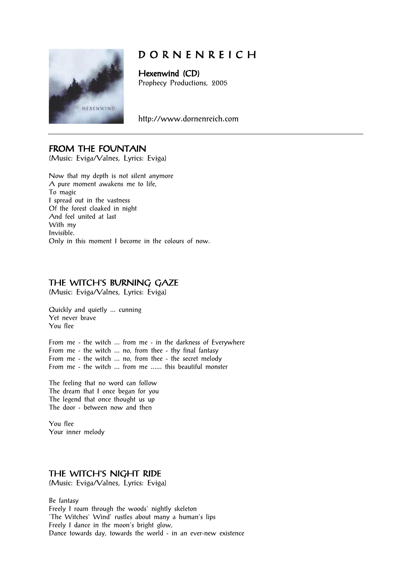

# D O R N E N R E I C H

Hexenwind (CD) Prophecy Productions, 2005

http://www.dornenreich.com

## FROM THE FOUNTAIN

(Music: Eviga/Valnes, Lyrics: Eviga)

Now that my depth is not silent anymore A pure moment awakens me to life, To magic I spread out in the vastness Of the forest cloaked in night And feel united at last With my Invisible. Only in this moment I become in the colours of now.

## THE WITCH'S BURNING GAZE

(Music: Eviga/Valnes, Lyrics: Eviga)

Quickly and quietly ... cunning Yet never brave You flee

From me - the witch ... from me - in the darkness of Everywhere From me - the witch ... no, from thee - thy final fantasy From me - the witch ... no, from thee - the secret melody From me - the witch ... from me ...... this beautiful monster

The feeling that no word can follow The dream that I once began for you The legend that once thought us up The door - between now and then

You flee Your inner melody

#### THE WITCH'S NIGHT RIDE

(Music: Eviga/Valnes, Lyrics: Eviga)

Be fantasy Freely I roam through the woods' nightly skeleton 'The Witches' Wind' rustles about many a human's lips Freely I dance in the moon's bright glow, Dance towards day, towards the world - in an ever-new existence